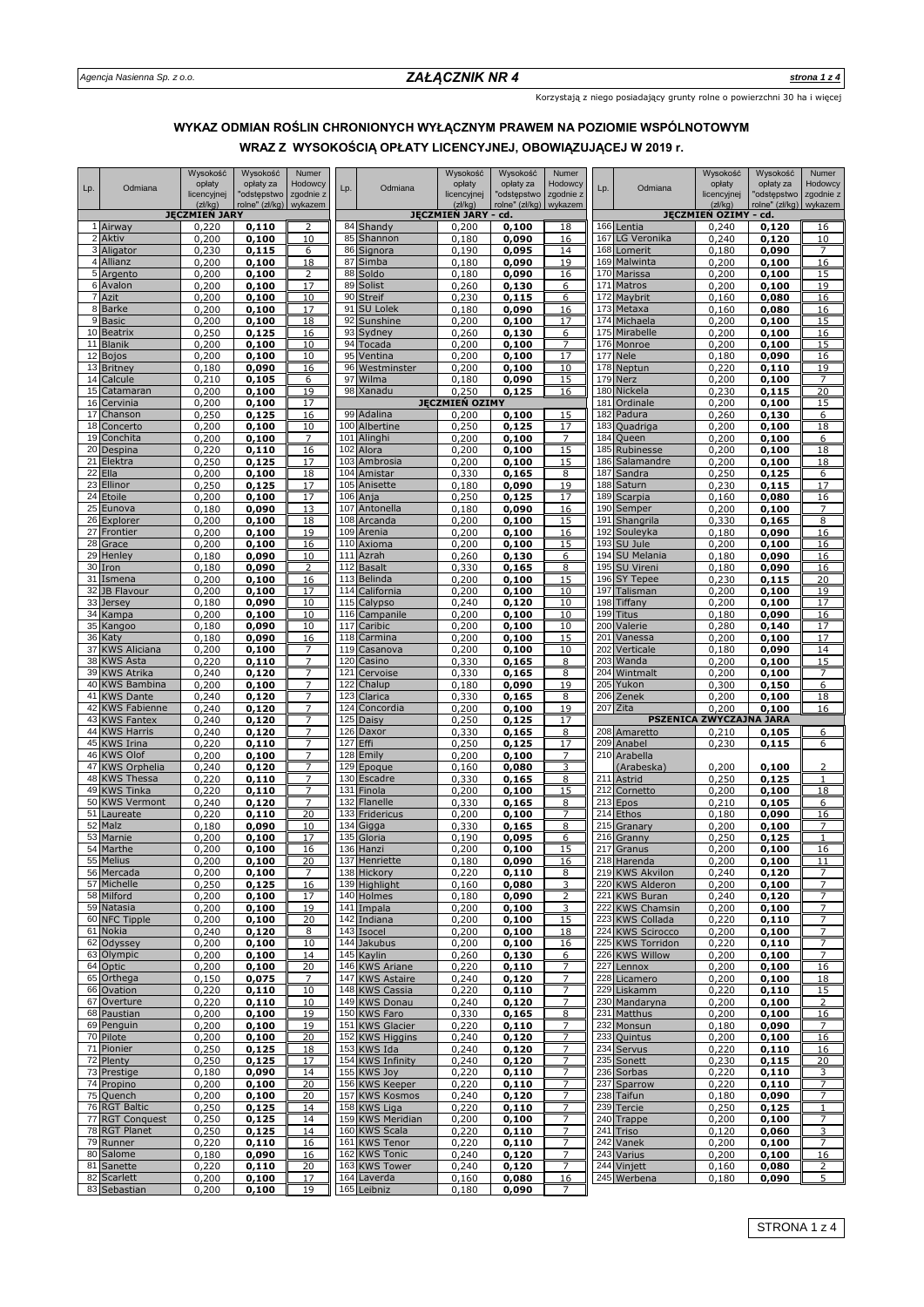Korzystają z niego posiadający grunty rolne o powierzchni 30 ha i więcej

# **WRAZ Z WYSOKOŚCIĄ OPŁATY LICENCYJNEJ, OBOWIĄZUJĄCEJ W 2019 r. WYKAZ ODMIAN ROŚLIN CHRONIONYCH WYŁĄCZNYM PRAWEM NA POZIOMIE WSPÓLNOTOWYM**

|          |                                        | Wysokość<br>opłaty     | Wysokość<br>opłaty za         | Numer<br>Hodowcy     |            |                                    | Wysokość<br>opłaty      | Wysokość<br>opłaty za         | Numer<br>Hodowcy     |            |                                      | Wysokość<br>opłaty               | Wysokość<br>opłaty za         | Numer<br>Hodowcy     |
|----------|----------------------------------------|------------------------|-------------------------------|----------------------|------------|------------------------------------|-------------------------|-------------------------------|----------------------|------------|--------------------------------------|----------------------------------|-------------------------------|----------------------|
| Lp.      | Odmiana                                | licencyjnej<br>(zk/kg) | "odstępstwo<br>rolne" (zł/kg) | zgodnie z<br>wykazem | Lp.        | Odmiana                            | licencyjnej<br>(zk/kg)  | "odstępstwo<br>rolne" (zł/kg) | zgodnie z<br>wykazem | Lp.        | Odmiana                              | licencyjnej<br>(zk/kg)           | "odstępstwo<br>rolne" (zł/kg) | zgodnie z<br>wykazem |
|          |                                        | <b>JĘCZMIEN JARY</b>   |                               |                      |            |                                    | JĘCZMIEŃ JARY           | cd.                           |                      |            |                                      | JĘCZMIEŃ OZIMY -                 | cd.                           |                      |
|          | 1 Airway<br>2 Aktiv                    | 0,220<br>0,200         | 0,110<br>0,100                | 2<br>10              | 85         | 84 Shandy<br>Shannon               | 0,200<br>0,180          | 0,100<br>0,090                | 18<br>16             | 166<br>167 | Lentia<br>LG Veronika                | 0,240<br>0,240                   | 0,120<br>0,120                | 16<br>10             |
|          | 3 Aligator                             | 0,230                  | 0,115                         | 6                    | 86         | Signora                            | 0,190                   | 0,095                         | 14                   | 168        | Lomerit                              | 0,180                            | 0,090                         | 7                    |
|          | 4 Allianz                              | 0,200                  | 0,100                         | 18                   | 87         | Simba                              | 0,180                   | 0,090                         | 19                   | 169        | Malwinta                             | 0,200                            | 0,100                         | 16                   |
|          | 5 Argento<br>6 Avalon                  | 0,200<br>0,200         | 0,100<br>0,100                | 2<br>17              | 88<br>89   | Soldo<br>Solist                    | 0,180<br>0,260          | 0,090<br>0,130                | 16<br>6              | 171        | 170 Marissa<br>Matros                | 0,200<br>0,200                   | 0,100<br>0,100                | 15<br>19             |
| 7        | Azit                                   | 0,200                  | 0,100                         | 10                   | 90         | <b>Streif</b>                      | 0,230                   | 0,115                         | 6                    | 172        | Maybrit                              | 0,160                            | 0,080                         | 16                   |
|          | 8 Barke<br>9 Basic                     | 0,200                  | 0,100                         | 17                   | 91<br>92   | <b>SU Lolek</b>                    | 0,180                   | 0,090                         | 16                   |            | 173 Metaxa                           | 0,160                            | 0,080                         | 16                   |
|          | 10 Beatrix                             | 0,200<br>0,250         | 0,100<br>0,125                | 18<br>16             | 93         | Sunshine<br>Sydney                 | 0,200<br>0,260          | 0,100<br>0,130                | 17<br>6              | 175        | 174 Michaela<br>Mirabelle            | 0,200<br>0,200                   | 0,100<br>0,100                | 15<br>16             |
| 11       | <b>Blanik</b>                          | 0,200                  | 0,100                         | 10                   | 94         | Tocada                             | 0,200                   | 0,100                         | 7                    | 176        | Monroe                               | 0,200                            | 0,100                         | 15                   |
|          | 12 Bojos<br>13 Britney                 | 0,200<br>0,180         | 0,100<br>0,090                | 10<br>16             | 95<br>96   | Ventina<br>Westminster             | 0,200<br>0,200          | 0,100<br>0,100                | 17<br>10             | 177<br>178 | <b>Nele</b><br>Neptun                | 0,180<br>0,220                   | 0,090<br>0,110                | 16<br>19             |
|          | 14 Calcule                             | 0,210                  | 0,105                         | 6                    | 97         | Wilma                              | 0,180                   | 0,090                         | 15                   | 179        | <b>Nerz</b>                          | 0,200                            | 0,100                         |                      |
| 15       | Catamaran                              | 0,200                  | 0,100                         | 19                   | 98         | Xanadu                             | 0,250                   | 0,125                         | 16                   | 180        | Nickela                              | 0,230                            | 0,115                         | 20                   |
| 16<br>17 | Cervinia<br>Chanson                    | 0,200<br>0,250         | 0,100<br>0,125                | 17<br>16             |            | 99 Adalina                         | JĘCZMIEŃ OZIMY<br>0,200 | 0,100                         | 15                   | 181<br>182 | Ordinale<br>Padura                   | 0,200<br>0,260                   | 0,100<br>0,130                | 15<br>6              |
|          | 18 Concerto                            | 0,200                  | 0,100                         | 10                   |            | 100 Albertine                      | 0,250                   | 0,125                         | 17                   | 183        | Quadriga                             | 0,200                            | 0,100                         | 18                   |
| 19       | Conchita                               | 0,200                  | 0,100                         | 7                    | 101        | Alinghi                            | 0,200                   | 0,100                         | 7                    | 184        | Queen                                | 0,200                            | 0,100                         | 6                    |
| 20       | Despina<br>21 Elektra                  | 0,220<br>0,250         | 0,110<br>0,125                | 16<br>17             | 102<br>103 | Alora<br>Ambrosia                  | 0,200<br>0,200          | 0,100<br>0,100                | 15<br>15             | 185<br>186 | Rubinesse<br>Salamandre              | 0,200<br>0,200                   | 0,100<br>0,100                | 18<br>18             |
| 22       | Ella                                   | 0,200                  | 0,100                         | 18                   | 104        | Amistar                            | 0,330                   | 0,165                         | 8                    | 187        | Sandra                               | 0,250                            | 0,125                         | 6                    |
| 23       | Ellinor                                | 0,250                  | 0,125                         | 17                   | 105        | Anisette                           | 0,180                   | 0,090                         | 19                   | 188        | Saturn                               | 0,230                            | 0,115                         | 17                   |
| 25       | 24 Etoile<br>Eunova                    | 0,200<br>0,180         | 0,100<br>0,090                | 17<br>13             | 106<br>107 | Anja<br>Antonella                  | 0,250<br>0,180          | 0,125<br>0,090                | 17<br>16             | 189<br>190 | Scarpia<br>Semper                    | 0,160<br>0,200                   | 0,080<br>0,100                | 16<br>7              |
| 26       | Explorer                               | 0,200                  | 0,100                         | 18                   | 108        | Arcanda                            | 0,200                   | 0,100                         | 15                   | 191        | Shangrila                            | 0,330                            | 0,165                         | 8                    |
| 27<br>28 | Frontier<br>Grace                      | 0,200<br>0,200         | 0,100<br>0,100                | 19<br>16             | 109        | Arenia<br>110 Axioma               | 0,200<br>0,200          | 0,100                         | 16<br>15             | 192<br>193 | Souleyka<br>SU Jule                  | 0,180<br>0,200                   | 0,090<br>0,100                | 16                   |
| 29       | Henley                                 | 0,180                  | 0,090                         | 10                   | 111        | Azrah                              | 0,260                   | 0,100<br>0,130                | 6                    | 194        | SU Melania                           | 0,180                            | 0,090                         | 16<br>16             |
| 30       | Iron                                   | 0,180                  | 0,090                         | 2                    | 112        | <b>Basalt</b>                      | 0,330                   | 0,165                         | 8                    | 195        | SU Vireni                            | 0,180                            | 0,090                         | 16                   |
| 31<br>32 | Ismena<br>JB Flavour                   | 0,200<br>0,200         | 0,100<br>0,100                | 16<br>17             | 113<br>114 | <b>Belinda</b><br>California       | 0,200<br>0,200          | 0,100<br>0,100                | 15<br>10             | 196<br>197 | <b>SY Tepee</b><br>Talisman          | 0,230<br>0,200                   | 0,115<br>0,100                | 20<br>19             |
| 33       | Jersey                                 | 0,180                  | 0,090                         | 10                   | 115        | Calypso                            | 0,240                   | 0,120                         | 10                   | 198        | Tiffany                              | 0,200                            | 0,100                         | 17                   |
| 34       | Kampa                                  | 0,200                  | 0,100                         | 10                   | 116        | Campanile                          | 0,200                   | 0,100                         | 10                   | 199        | Titus                                | 0,180                            | 0,090                         | 16                   |
| 35<br>36 | Kangoo<br>Katy                         | 0,180<br>0,180         | 0,090<br>0,090                | 10<br>16             | 117<br>118 | Caribic<br>Carmina                 | 0,200<br>0,200          | 0,100<br>0,100                | 10<br>15             | 200<br>201 | Valerie<br>Vanessa                   | 0,280<br>0,200                   | 0,140<br>0,100                | 17<br>17             |
| 37       | <b>KWS Aliciana</b>                    | 0,200                  | 0,100                         |                      | 119        | Casanova                           | 0,200                   | 0,100                         | 10                   | 202        | Verticale                            | 0,180                            | 0,090                         | 14                   |
| 38       | <b>KWS Asta</b>                        | 0,220                  | 0,110                         | 7                    | 120        | Casino                             | 0,330                   | 0,165                         | 8                    | 203        | Wanda                                | 0,200                            | 0,100                         | 15                   |
|          | 39 KWS Atrika<br>40 KWS Bambina        | 0,240<br>0,200         | 0,120<br>0,100                | 7<br>7               | 121<br>122 | Cervoise<br>Chalup                 | 0,330<br>0,180          | 0,165<br>0,090                | 8<br>19              | 204<br>205 | Wintmalt<br>Yukon                    | 0,200<br>0,300                   | 0,100<br>0,150                | 7<br>6               |
|          | 41 KWS Dante                           | 0,240                  | 0,120                         | 7                    | 123        | Clarica                            | 0,330                   | 0,165                         | 8                    | 206        | Zenek                                | 0,200                            | 0,100                         | 18                   |
| 42       | <b>KWS Fabienne</b><br>43 KWS Fantex   | 0,240<br>0,240         | 0,120<br>0,120                | 7                    | 124<br>125 | Concordia<br>Daisy                 | 0,200<br>0,250          | 0,100<br>0,125                | 19<br>17             | 207        | Zita                                 | 0,200<br>PSZENICA ZWYCZAJNA JARA | 0,100                         | 16                   |
|          | 44 KWS Harris                          | 0,240                  | 0,120                         | 7                    | 126        | Daxor                              | 0,330                   | 0,165                         | 8                    | 208        | Amaretto                             | 0,210                            | 0,105                         | 6                    |
|          | 45 KWS Irina                           | 0,220                  | 0,110                         | 7                    | 127        | Effi                               | 0,250                   | 0,125                         | 17                   | 209        | Anabel                               | 0,230                            | 0,115                         | 6                    |
| 46<br>47 | <b>KWS Olof</b><br><b>KWS Orphelia</b> | 0,200<br>0,240         | 0,100<br>0,120                | $\overline{7}$<br>7  | 128<br>129 | Emily<br>Epoque                    | 0,200<br>0,160          | 0,100<br>0,080                | 7<br>3               | 210        | Arabella<br>(Arabeska)               | 0,200                            | 0,100                         | 2                    |
| 48       | <b>KWS Thessa</b>                      | 0,220                  | 0,110                         | 7                    | 130        | Escadre                            | 0,330                   | 0,165                         | 8                    | 211        | Astrid                               | 0,250                            | 0,125                         | $\mathbf{1}$         |
| 49       | <b>KWS Tinka</b>                       | 0,220                  | 0,110                         | 7                    | 131        | Finola                             | 0,200                   | 0,100                         | 15                   | 212        | Cornetto                             | 0,200                            | 0,100                         | 18                   |
| 50<br>51 | <b>KWS Vermont</b><br>Laureate         | 0,240<br>0,220         | 0,120<br>0,110                | 20                   | 132<br>133 | <b>Flanelle</b><br>Fridericus      | 0,330<br>0,200          | 0,165<br>0,100                | 8<br>7               | 213<br>214 | Epos<br>Ethos                        | 0,210<br>0,180                   | 0,105<br>0,090                | 6<br>16              |
| 52       | Malz                                   | 0,180                  | 0,090                         | 10                   | 134        | Gigga                              | 0,330                   | 0,165                         | 8                    | 215        | Granary                              | 0,200                            | 0,100                         | 7                    |
| 53       | Marnie<br>54 Marthe                    | 0,200<br>0,200         | 0,100<br>0,100                | 17<br>16             | 135<br>136 | Gloria<br>Hanzi                    | 0,190<br>0,200          | 0,095<br>0,100                | 6<br>15              | 216<br>217 | Granny<br>Granus                     | 0,250<br>0,200                   | 0,125<br>0,100                | $\mathbf{1}$<br>16   |
|          | 55 Melius                              | 0,200                  | 0,100                         | <u> 20</u>           |            | 137 Henriette                      | 0,180                   | 0,090                         | <u> 16</u>           |            | 218 Harenda                          | 0,200                            | 0,100                         |                      |
|          | 56 Mercada                             | 0,200                  | 0,100                         | $\overline{7}$       |            | 138 Hickory                        | 0,220                   | 0,110                         | 8                    |            | 219 KWS Akvilon                      | 0,240                            | 0,120                         | 7                    |
|          | 57 Michelle<br>58 Milford              | 0,250<br>0,200         | 0,125<br>0,100                | 16<br>17             |            | 139 Highlight<br>140 Holmes        | 0,160<br>0,180          | 0,080<br>0,090                | 3<br>2               |            | 220 KWS Alderon<br>221 KWS Buran     | 0,200<br>0,240                   | 0.100<br>0,120                | 7<br>7               |
|          | 59 Natasia                             | 0,200                  | 0,100                         | 19                   |            | 141 Impala                         | 0,200                   | 0,100                         | 3                    |            | 222 KWS Chamsin                      | 0,200                            | 0,100                         | 7                    |
|          | 60 NFC Tipple                          | 0,200                  | 0,100                         | 20                   |            | 142 Indiana                        | 0,200                   | 0,100                         | 15                   |            | 223 KWS Collada                      | 0,220                            | 0,110                         | 7                    |
|          | 61 Nokia<br>62 Odyssey                 | 0,240<br>0,200         | 0,120<br>0,100                | 8<br>10              |            | 143 Isocel<br>144 Jakubus          | 0,200<br>0,200          | 0,100<br>0,100                | 18<br>16             |            | 224 KWS Scirocco<br>225 KWS Torridon | 0,200<br>0,220                   | 0,100<br>0,110                | 7<br>7               |
|          | 63 Olympic                             | 0,200                  | 0,100                         | 14                   |            | 145 Kaylin                         | 0,260                   | 0,130                         | 6                    |            | 226 KWS Willow                       | 0,200                            | 0,100                         | $\overline{7}$       |
|          | 64 Optic<br>65 Orthega                 | 0,200<br>0,150         | 0,100                         | 20<br>$\overline{7}$ |            | 146 KWS Ariane<br>147 KWS Astaire  | 0,220                   | 0,110                         | 7<br>7               |            | 227 Lennox<br>228 Licamero           | 0,200                            | 0,100                         | 16                   |
|          | 66 Ovation                             | 0,220                  | 0,075<br>0,110                | 10                   |            | 148 KWS Cassia                     | 0,240<br>0,220          | 0,120<br>0,110                |                      |            | 229 Liskamm                          | 0,200<br>0,220                   | 0,100<br>0,110                | 18<br>15             |
|          | 67 Overture                            | 0,220                  | 0,110                         | 10                   |            | 149 KWS Donau                      | 0,240                   | 0,120                         | 7                    |            | 230 Mandaryna                        | 0,200                            | 0,100                         | 2                    |
|          | 68 Paustian<br>69 Penguin              | 0,200                  | 0,100                         | 19                   |            | 150 KWS Faro                       | 0,330                   | 0,165                         | 8                    | 232        | 231 Matthus                          | 0,200                            | 0,100                         | 16                   |
|          | 70 Pilote                              | 0,200<br>0,200         | 0,100<br>0,100                | 19<br>20             |            | 151 KWS Glacier<br>152 KWS Higgins | 0,220<br>0,240          | 0,110<br>0,120                | 7<br>7               |            | Monsun<br>233 Quintus                | 0,180<br>0,200                   | 0,090<br>0,100                | 7<br>16              |
|          | 71 Pionier                             | 0,250                  | 0,125                         | 18                   |            | 153 KWS Ida                        | 0,240                   | 0,120                         | $\overline{7}$       |            | 234 Servus                           | 0,220                            | 0,110                         | 16                   |
|          | 72 Plenty<br>73 Prestige               | 0,250<br>0,180         | 0,125<br>0,090                | 17<br>14             |            | 154 KWS Infinity<br>155 KWS Joy    | 0,240<br>0,220          | 0,120<br>0,110                | 7                    |            | 235 Sonett<br>236 Sorbas             | 0,230<br>0,220                   | 0,115<br>0,110                | 20                   |
|          | 74 Propino                             | 0,200                  | 0,100                         | 20                   |            | 156 KWS Keeper                     | 0,220                   | 0,110                         | 7                    |            | 237 Sparrow                          | 0,220                            | 0,110                         | 3<br>7               |
|          | 75 Quench                              | 0,200                  | 0,100                         | 20                   |            | 157 KWS Kosmos                     | 0,240                   | 0,120                         |                      |            | 238 Taifun                           | 0,180                            | 0,090                         | 7                    |
|          | 76 RGT Baltic<br>77 RGT Conquest       | 0,250<br>0,250         | 0,125<br>0,125                | 14<br>14             |            | 158 KWS Liga<br>159 KWS Meridian   | 0,220<br>0,200          | 0,110<br>0,100                | 7<br>$\overline{7}$  |            | $239$ Tercie<br>240 Trappe           | 0,250<br>0,200                   | 0,125<br>0,100                | 1<br>$\overline{7}$  |
|          | 78 RGT Planet                          | 0,250                  | 0,125                         | 14                   |            | 160 KWS Scala                      | 0,220                   | 0,110                         | 7                    |            | 241 Triso                            | 0,120                            | 0,060                         | 3                    |
|          | 79 Runner                              | 0,220                  | 0,110                         | 16                   |            | 161 KWS Tenor                      | 0,220                   | 0,110                         | 7                    | 242        | Vanek                                | 0,200                            | 0,100                         | $\overline{7}$       |
|          | 80 Salome<br>81 Sanette                | 0,180<br>0,220         | 0,090<br>0,110                | 16<br>20             | 162        | <b>KWS Tonic</b><br>163 KWS Tower  | 0,240<br>0,240          | 0,120<br>0,120                | 7                    |            | 243 Varius<br>244 Vinjett            | 0,200<br>0,160                   | 0,100<br>0,080                | 16<br>$\overline{2}$ |
|          | 82 Scarlett                            | 0,200                  | 0,100                         | 17                   |            | 164 Laverda                        | 0,160                   | 0,080                         | 16                   |            | 245 Werbena                          | 0,180                            | 0,090                         | 5                    |
|          | 83 Sebastian                           | 0,200                  | 0,100                         | 19                   |            | 165 Leibniz                        | 0,180                   | 0,090                         |                      |            |                                      |                                  |                               |                      |

STRONA 1 z 4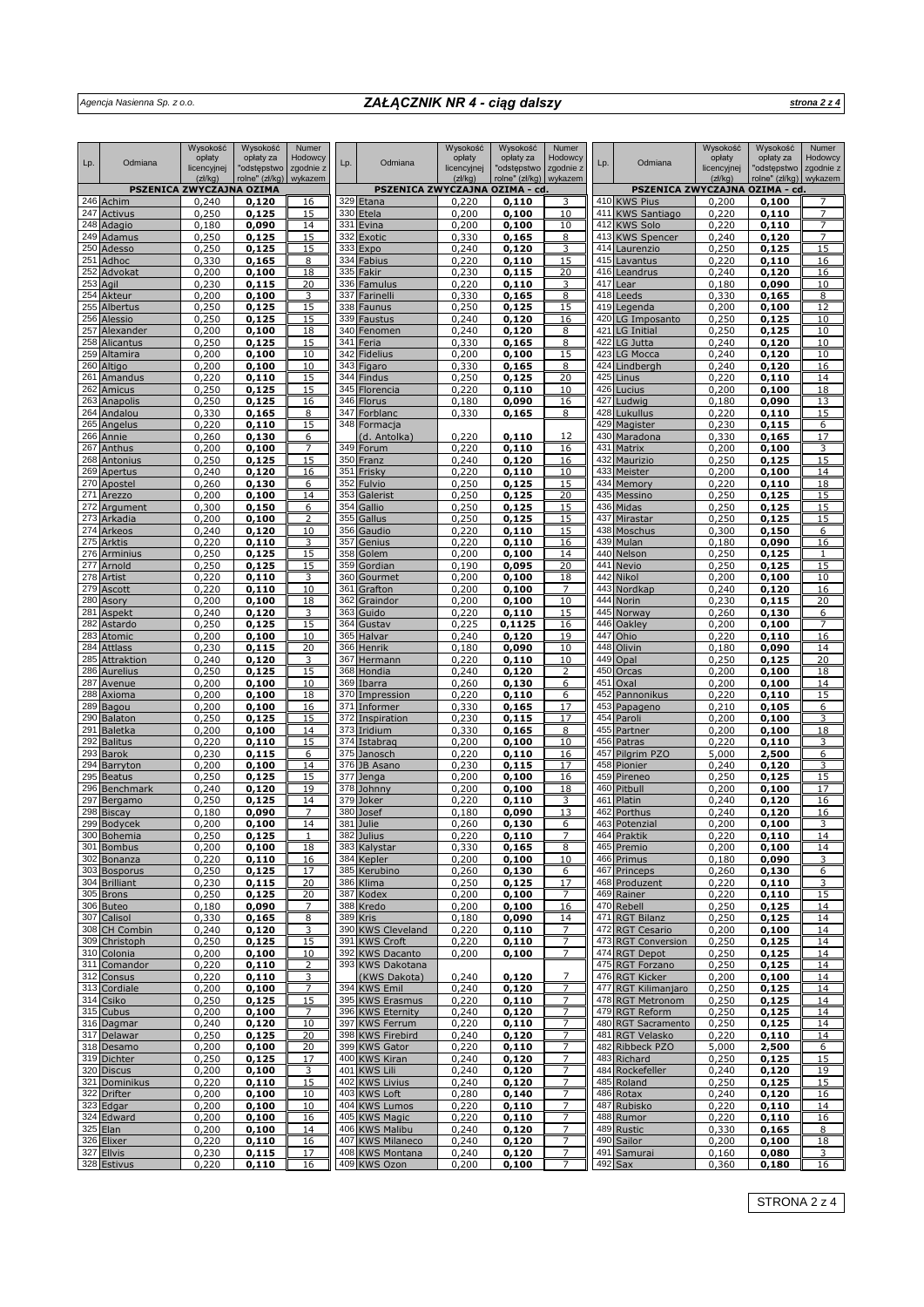# *Agencja Nasienna Sp. z o.o. ZAŁĄCZNIK NR 4 - ciąg dalszy*

*strona 2 z 4*

|            |                                | Wysokość                          | Wysokość                 | Numer                |            |                                        | Wysokość              | Wysokość                 | Numer                |            |                                                  | Wysokość              | Wysokość                 | Numer                |
|------------|--------------------------------|-----------------------------------|--------------------------|----------------------|------------|----------------------------------------|-----------------------|--------------------------|----------------------|------------|--------------------------------------------------|-----------------------|--------------------------|----------------------|
| Lp.        | Odmiana                        | opłaty<br>licencyjnej             | opłaty za<br>"odstępstwo | Hodowcy<br>zgodnie z | Lp.        | Odmiana                                | opłaty<br>licencyjnej | opłaty za<br>"odstępstwo | Hodowcy<br>zgodnie z | Lp.        | Odmiana                                          | opłaty<br>licencyjnej | opłaty za<br>"odstępstwo | Hodowcy<br>zgodnie z |
|            |                                | (zk/kg)                           | rolne" (zł/kg)           | wykazem              |            |                                        | (zk/kg)               | rolne" (zł/kg)           | wykazem              |            |                                                  | (zk/kg)               | rolne" (zł/kg)           | wykazem              |
|            | 246 Achim                      | PSZENICA ZWYCZAJNA OZIMA<br>0,240 | 0,120                    | 16                   | 329        | PSZENICA ZWYCZAJNA OZIMA - cd<br>Etana | 0,220                 | 0,110                    |                      | 410        | PSZENICA ZWYCZAJNA OZIMA - cd<br><b>KWS Pius</b> | 0,200                 | 0,100                    |                      |
|            | 247 Activus                    | 0,250                             | 0,125                    | 15                   | 330        | Etela                                  | 0,200                 | 0,100                    | 10                   | 411        | <b>KWS Santiago</b>                              | 0.220                 | 0,110                    | 7                    |
|            | 248 Adagio                     | 0,180                             | 0,090                    | 14                   | 331        | Evina                                  | 0,200                 | 0,100                    | 10                   | 412        | <b>KWS Solo</b>                                  | 0,220                 | 0,110                    | $\overline{7}$       |
|            | 249 Adamus                     | 0,250                             | 0,125                    | 15                   | 332        | Exotic                                 | 0,330                 | 0,165                    | 8                    | 413<br>414 | <b>KWS Spencer</b>                               | 0,240                 | 0,120                    | 7                    |
|            | 250 Adesso<br>251 Adhoc        | 0,250<br>0,330                    | 0,125<br>0,165           | 15<br>8              | 333<br>334 | Expo<br>Fabius                         | 0,240<br>0,220        | 0,120<br>0,110           | 15                   | 415        | Laurenzio<br>Lavantus                            | 0,250<br>0,220        | 0,125<br>0,110           | 15<br>16             |
| 252        | Advokat                        | 0,200                             | 0,100                    | 18                   | 335        | Fakir                                  | 0,230                 | 0,115                    | 20                   | 416        | Leandrus                                         | 0,240                 | 0,120                    | 16                   |
| 253        | Agil                           | 0,230                             | 0,115                    | 20                   | 336        | Famulus                                | 0,220                 | 0,110                    | 3                    | 417        | ear                                              | 0,180                 | 0,090                    | 10                   |
| 254        | Akteur<br>255 Albertus         | 0,200<br>0,250                    | 0,100<br>0,125           | 3<br>15              | 337<br>338 | Farinelli<br>Faunus                    | 0,330<br>0,250        | 0,165<br>0,125           | 8<br>15              | 418<br>419 | Leeds<br>Legenda                                 | 0,330<br>0,200        | 0,165<br>0,100           | 8<br>12              |
|            | 256 Alessio                    | 0,250                             | 0,125                    | 15                   | 339        | Faustus                                | 0,240                 | 0,120                    | 16                   | 420        | LG Imposanto                                     | 0,250                 | 0,125                    | 10                   |
|            | 257 Alexander                  | 0,200                             | 0,100                    | 18                   | 340        | Fenomen                                | 0,240                 | 0,120                    | 8                    | 421        | LG Initial                                       | 0,250                 | 0,125                    | 10                   |
|            | 258 Alicantus                  | 0,250                             | 0,125                    | 15                   | 341        | Feria                                  | 0,330                 | 0,165                    | 8                    | 422        | LG Jutta                                         | 0,240                 | 0,120                    | 10                   |
|            | 259 Altamira<br>260 Altigo     | 0,200<br>0,200                    | 0,100<br>0,100           | 10<br>10             | 342<br>343 | <b>Fidelius</b><br>Figaro              | 0,200<br>0,330        | 0,100<br>0,165           | 15<br>8              | 423<br>424 | LG Mocca<br>Lindbergh                            | 0,240<br>0,240        | 0,120<br>0,120           | 10<br>16             |
|            | 261 Amandus                    | 0,220                             | 0,110                    | 15                   | 344        | Findus                                 | 0,250                 | 0,125                    | 20                   | 425        | Linus                                            | 0,220                 | 0,110                    | 14                   |
| 262        | Amicus                         | 0,250                             | 0,125                    | 15                   | 345        | Florencia                              | 0,220                 | 0,110                    | 10                   | 426        | Lucius                                           | 0,200                 | 0,100                    | 18                   |
| 263<br>264 | Anapolis                       | 0,250                             | 0,125                    | 16                   | 346<br>347 | <b>Florus</b>                          | 0,180                 | 0,090                    | 16                   | 427<br>428 | Ludwig                                           | 0,180                 | 0,090                    | 13                   |
| 265        | Andalou<br>Angelus             | 0,330<br>0,220                    | 0,165<br>0,110           | 8<br>15              | 348        | Forblanc<br>Formacja                   | 0,330                 | 0,165                    | 8                    | 429        | Lukullus<br>Magister                             | 0,220<br>0,230        | 0,110<br>0,115           | 15<br>6              |
|            | 266 Annie                      | 0,260                             | 0,130                    | 6                    |            | (d. Antolka)                           | 0,220                 | 0,110                    | 12                   | 430        | Maradona                                         | 0,330                 | 0,165                    | 17                   |
|            | 267 Anthus                     | 0,200                             | 0,100                    | $\overline{7}$       | 349        | Forum                                  | 0,220                 | 0,110                    | 16                   | 431        | Matrix                                           | 0,200                 | 0,100                    | 3                    |
| 268        | Antonius<br>269 Apertus        | 0,250<br>0,240                    | 0,125<br>0,120           | 15<br>16             | 350<br>351 | Franz                                  | 0,240<br>0,220        | 0,120<br>0,110           | 16                   | 432<br>433 | Maurizio<br>Meister                              | 0,250                 | 0,125<br>0,100           | 15<br>14             |
|            | 270 Apostel                    | 0,260                             | 0,130                    | 6                    | 352        | Frisky<br>Fulvio                       | 0,250                 | 0,125                    | 10<br>15             | 434        | Memory                                           | 0,200<br>0,220        | 0,110                    | 18                   |
|            | 271 Arezzo                     | 0,200                             | 0,100                    | 14                   | 353        | Galerist                               | 0,250                 | 0,125                    | 20                   | 435        | Messino                                          | 0,250                 | 0,125                    | 15                   |
|            | 272 Argument                   | 0,300                             | 0,150                    | 6                    | 354        | Gallio                                 | 0,250                 | 0,125                    | 15                   | 436        | Midas                                            | 0,250                 | 0,125                    | 15                   |
|            | 273 Arkadia<br>274 Arkeos      | 0,200<br>0,240                    | 0,100<br>0,120           | 10                   | 355<br>356 | Gallus<br>Gaudio                       | 0,250<br>0,220        | 0,125<br>0,110           | 15<br>15             | 437<br>438 | Mirastar<br>Moschus                              | 0,250<br>0,300        | 0,125<br>0,150           | 15<br>6              |
|            | 275 Arktis                     | 0,220                             | 0,110                    | 3                    | 357        | Genius                                 | 0,220                 | 0,110                    | 16                   | 439        | Mulan                                            | 0,180                 | 0,090                    | 16                   |
|            | 276 Arminius                   | 0,250                             | 0,125                    | 15                   | 358        | Golem                                  | 0,200                 | 0,100                    | 14                   | 440        | Nelson                                           | 0,250                 | 0,125                    | $\mathbf{1}$         |
|            | 277 Arnold                     | 0,250                             | 0,125                    | 15                   | 359        | Gordian                                | 0,190                 | 0,095                    | 20                   | 441        | Nevio                                            | 0,250                 | 0,125                    | 15                   |
|            | 278 Artist<br>279 Ascott       | 0,220<br>0,220                    | 0,110<br>0,110           | 3<br>10              | 360<br>361 | Gourmet<br>Grafton                     | 0,200<br>0,200        | 0,100<br>0,100           | 18                   | 442<br>443 | Nikol<br>Nordkap                                 | 0,200<br>0,240        | 0,100<br>0,120           | 10<br>16             |
|            | 280 Asory                      | 0,200                             | 0,100                    | 18                   | 362        | Graindor                               | 0,200                 | 0,100                    | 10                   | 444        | Norin                                            | 0,230                 | 0,115                    | 20                   |
|            | 281 Aspekt                     | 0,240                             | 0,120                    | 3                    | 363        | Guido                                  | 0,220                 | 0,110                    | 15                   | 445        | Norway                                           | 0,260                 | 0,130                    | 6                    |
|            | 282 Astardo                    | 0,250                             | 0,125                    | 15                   | 364        | Gustav                                 | 0,225                 | 0,1125                   | 16                   | 446        | Oakley                                           | 0,200                 | 0,100                    | $\overline{7}$       |
|            | 283 Atomic<br>284 Attlass      | 0,200<br>0,230                    | 0,100<br>0,115           | 10<br>20             | 365<br>366 | Halvar<br>Henrik                       | 0,240<br>0,180        | 0,120<br>0,090           | 19<br>10             | 447<br>448 | Ohio<br>Olivin                                   | 0,220<br>0,180        | 0,110<br>0,090           | 16<br>14             |
|            | 285 Attraktion                 | 0,240                             | 0,120                    |                      | 367        | Hermann                                | 0,220                 | 0,110                    | 10                   | 449        | Opal                                             | 0,250                 | 0,125                    | 20                   |
|            | 286 Aurelius                   | 0,250                             | 0,125                    | 15                   | 368        | Hondia                                 | 0,240                 | 0,120                    | 2                    | 450        | Orcas                                            | 0,200                 | 0,100                    | 18                   |
| 287<br>288 | Avenue                         | 0,200<br>0,200                    | 0,100                    | 10<br>18             | 369<br>370 | Ibarra                                 | 0,260<br>0,220        | 0,130                    | 6<br>6               | 451<br>452 | Oxal                                             | 0,200                 | 0,100                    | 14<br>15             |
| 289        | Axioma<br>Bagou                | 0,200                             | 0,100<br>0,100           | 16                   | 371        | Impression<br>Informer                 | 0,330                 | 0,110<br>0,165           | 17                   | 453        | Pannonikus<br>Papageno                           | 0,220<br>0,210        | 0,110<br>0,105           | 6                    |
|            | 290 Balaton                    | 0,250                             | 0,125                    | 15                   | 372        | Inspiration                            | 0,230                 | 0,115                    | 17                   | 454        | Paroli                                           | 0,200                 | 0,100                    | 3                    |
|            | 291 Baletka                    | 0,200                             | 0,100                    | 14                   | 373        | Iridium                                | 0,330                 | 0,165                    | 8                    | 455        | Partner                                          | 0,200                 | 0,100                    | 18                   |
| 292<br>293 | <b>Balitus</b><br><b>Barok</b> | 0,220<br>0,230                    | 0,110<br>0,115           | 15<br>6              | 374<br>375 | Istabrag<br>Janosch                    | 0,200<br>0,220        | 0,100<br>0,110           | 10<br>16             | 456<br>457 | Patras<br>Pilgrim PZO                            | 0,220<br>5,000        | 0,110<br>2,500           | 3<br>6               |
| 294        | Barryton                       | 0,200                             | 0,100                    | 14                   | 376        | JB Asano                               | 0,230                 | 0,115                    | 17                   | 458        | Pionier                                          | 0,240                 | 0,120                    | 3                    |
| 295        | <b>Beatus</b>                  | 0,250                             | 0,125                    | 15                   | 377        | Jenga                                  | 0,200                 | 0,100                    | 16                   | 459        | Pireneo                                          | 0,250                 | 0,125                    | 15                   |
|            | 296 Benchmark                  | 0,240                             | 0,120                    | 19                   | 378        | Johnny                                 | 0,200                 | 0,100                    | 18                   | 460        | Pitbull                                          | 0,200                 | 0,100                    | 17                   |
|            | 297 Bergamo<br>298 Biscay      | 0,250<br>0,180                    | 0,125<br>0,090           | 14<br>7              | 379<br>380 | Joker<br>Josef                         | 0,220<br>0,180        | 0,110<br>0,090           | 3<br>13              | 461<br>462 | Platin<br>Porthus                                | 0,240<br>0,240        | 0,120<br>0,120           | 16<br>16             |
|            | 299 Bodycek                    | 0,200                             | 0,100                    | 14                   | 381        | Julie                                  | 0,260                 | 0.130                    | 6                    | 463        | Potenzial                                        | 0,200                 | 0,100                    | 3                    |
|            | 300 Bohemia                    | <u>0,250</u>                      | <u>0,125</u>             |                      |            | 382 Julius                             | <u>0,220</u>          | <u>0,110</u>             |                      |            | 464 Praktik                                      | 0,220                 | <u>0,110</u>             | 14                   |
|            | 301 Bombus<br>302 Bonanza      | 0,200<br>0,220                    | 0,100<br>0,110           | 18<br>16             |            | 383 Kalystar<br>384 Kepler             | 0,330<br>0,200        | 0,165<br>0,100           | 8<br>10              |            | 465 Premio<br>466 Primus                         | 0,200<br>0,180        | 0,100<br>0,090           | 14<br>3              |
|            | 303 Bosporus                   | 0,250                             | 0,125                    | 17                   |            | 385 Kerubino                           | 0,260                 | 0,130                    | 6                    |            | 467 Princeps                                     | 0,260                 | 0,130                    | 6                    |
|            | 304 Brilliant                  | 0,230                             | 0,115                    | 20                   |            | 386 Klima                              | 0,250                 | 0,125                    | 17                   |            | 468 Produzent                                    | 0,220                 | 0,110                    | 3                    |
|            | 305 Brons                      | 0,250                             | 0,125                    | 20                   |            | 387 Kodex                              | 0,200                 | 0,100                    | $\overline{7}$       |            | 469 Rainer                                       | 0,220                 | 0,110                    | 15                   |
|            | 306 Buteo<br>307 Calisol       | 0,180<br>0,330                    | 0,090<br>0,165           | 7<br>8               |            | 388 Kredo<br>389 Kris                  | 0,200<br>0,180        | 0,100<br>0,090           | 16<br>14             |            | 470 Rebell<br>471 RGT Bilanz                     | 0,250<br>0,250        | 0,125<br>0,125           | 14<br>14             |
|            | 308 CH Combin                  | 0,240                             | 0,120                    |                      |            | 390 KWS Cleveland                      | 0,220                 | 0,110                    | 7                    |            | 472 RGT Cesario                                  | 0,200                 | 0,100                    | 14                   |
|            | 309 Christoph                  | 0,250                             | 0,125                    | <u>15</u>            |            | 391 KWS Croft                          | 0,220                 | 0,110                    | $\overline{7}$       |            | 473 RGT Conversion                               | 0,250                 | 0,125                    | 14                   |
|            | 310 Colonia<br>311 Comandor    | 0,200<br>0,220                    | 0,100                    | 10<br>2              | 392        | <b>KWS Dacanto</b><br>393 KWS Dakotana | 0,200                 | 0,100                    | 7                    |            | 474 RGT Depot<br>475 RGT Forzano                 | 0,250                 | 0,125<br>0,125           | 14<br>14             |
|            | 312 Consus                     | 0,220                             | 0,110<br>0,110           | 3                    |            | (KWS Dakota)                           | 0,240                 | 0,120                    | 7                    |            | 476 RGT Kicker                                   | 0,250<br>0,200        | 0,100                    | 14                   |
|            | 313 Cordiale                   | 0,200                             | 0,100                    | $\overline{7}$       | 394        | <b>KWS Emil</b>                        | 0,240                 | 0,120                    | $\overline{7}$       |            | 477 RGT Kilimanjaro                              | 0,250                 | 0,125                    | 14                   |
|            | 314 Csiko                      | 0,250                             | 0,125                    | 15                   |            | 395 KWS Erasmus                        | 0,220                 | 0,110                    | 7                    |            | 478 RGT Metronom                                 | 0,250                 | 0,125                    | 14                   |
|            | 315 Cubus<br>316 Dagmar        | 0,200<br>0,240                    | 0,100<br>0,120           | 7<br>10              |            | 396 KWS Eternity<br>397 KWS Ferrum     | 0,240<br>0,220        | 0,120<br>0,110           | 7                    |            | 479 RGT Reform<br>480 RGT Sacramento             | 0,250<br>0,250        | 0,125<br>0,125           | 14<br>14             |
|            | 317 Delawar                    | 0,250                             | 0,125                    | 20                   | 398        | <b>KWS Firebird</b>                    | 0,240                 | 0,120                    |                      |            | 481 RGT Velasko                                  | 0,220                 | 0,110                    | 14                   |
|            | 318 Desamo                     | 0,200                             | 0,100                    | 20                   |            | 399 KWS Gator                          | 0,220                 | 0,110                    | 7                    |            | 482 Ribbeck PZO                                  | 5,000                 | 2,500                    | 6                    |
|            | 319 Dichter                    | 0,250                             | 0,125                    | 17                   |            | 400 KWS Kiran                          | 0,240                 | 0,120                    | 7                    |            | 483 Richard                                      | 0,250                 | 0,125                    | 15                   |
|            | 320 Discus<br>321 Dominikus    | 0,200<br>0,220                    | 0,100<br>0,110           | 3<br>15              |            | 401 KWS Lili<br>402 KWS Livius         | 0,240<br>0,240        | 0,120<br>0,120           | 7<br>7               |            | 484 Rockefeller<br>485 Roland                    | 0,240<br>0,250        | 0,120<br>0,125           | 19<br>15             |
|            | 322 Drifter                    | 0,200                             | 0,100                    | 10                   |            | 403 KWS Loft                           | 0,280                 | 0,140                    | 7                    |            | 486 Rotax                                        | 0,240                 | 0,120                    | 16                   |
|            | 323 Edgar                      | 0,200                             | 0,100                    | 10                   |            | 404 KWS Lumos                          | 0,220                 | 0,110                    | 7                    |            | 487 Rubisko                                      | 0,220                 | 0,110                    | 14                   |
|            | 324 Edward<br>325 Elan         | 0,200<br>0,200                    | 0,100<br>0,100           | 16<br>14             |            | 405 KWS Magic<br>406 KWS Malibu        | 0,220<br>0,240        | 0,110<br>0,120           | 7                    |            | 488 Rumor<br>489 Rustic                          | 0,220<br>0,330        | 0,110<br>0,165           | 16<br>8              |
|            | 326 Elixer                     | 0,220                             | 0,110                    | 16                   |            | 407 KWS Milaneco                       | 0,240                 | 0,120                    | $\overline{7}$       |            | 490 Sailor                                       | 0,200                 | 0,100                    | 18                   |
|            | 327 Ellvis                     | 0,230                             | 0,115                    | 17                   |            | 408 KWS Montana                        | 0,240                 | 0,120                    | 7                    |            | 491 Samurai                                      | 0,160                 | 0,080                    | 3                    |
|            | 328 Estivus                    | 0,220                             | 0,110                    | 16                   |            | 409 KWS Ozon                           | 0,200                 | 0,100                    | $\overline{7}$       |            | $492$ Sax                                        | 0,360                 | 0,180                    | 16                   |

STRONA 2 z 4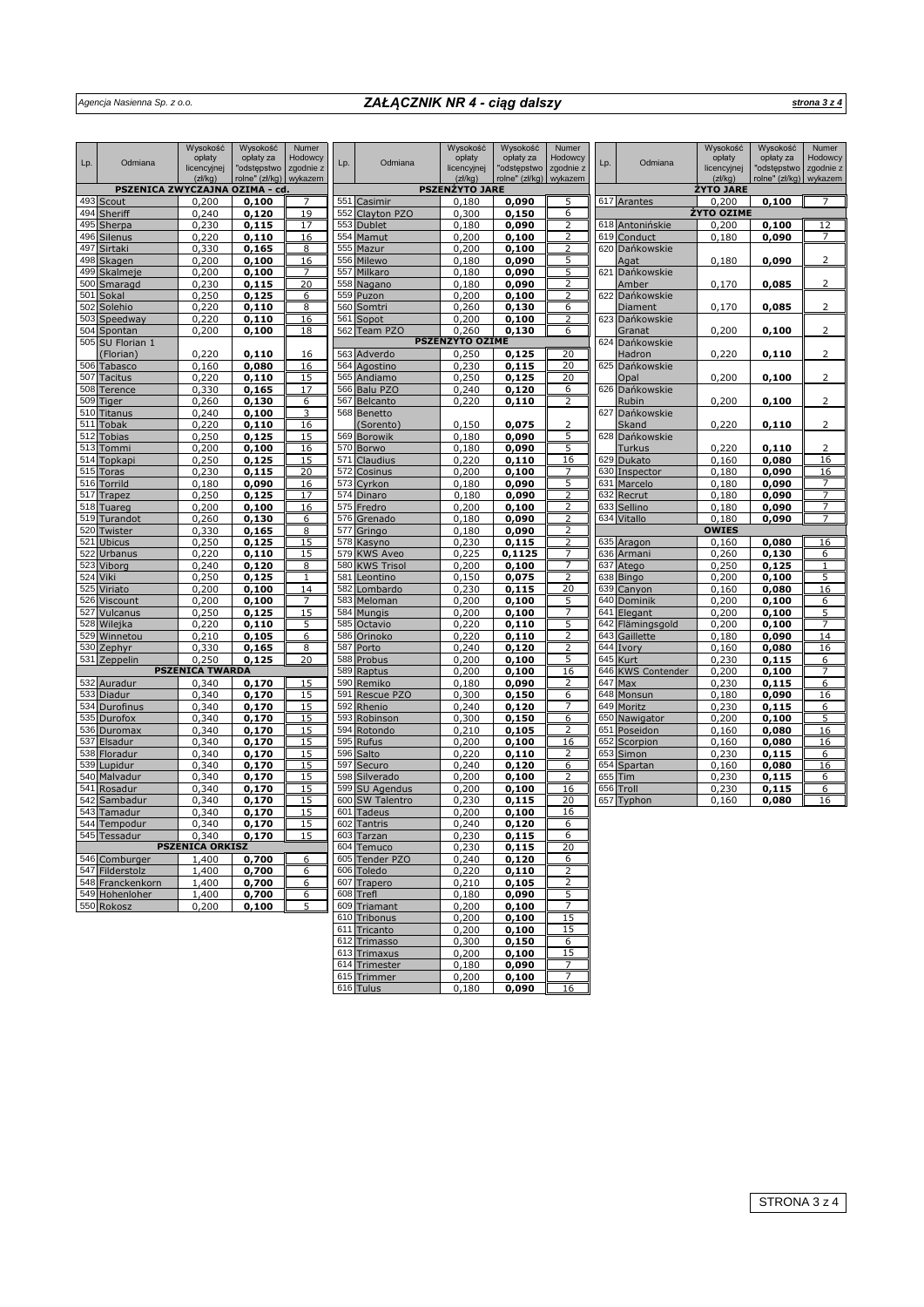# *ZAŁĄCZNIK NR 4 - ciąg dalszy strona 3 z 4*

|            |                               | Wysokość               | Wysokość                 | Numer                |     |                         | Wysokość               | Wysokość                 | Numer                |            |                           | Wysokość              | Wysokość                 | Numer                |
|------------|-------------------------------|------------------------|--------------------------|----------------------|-----|-------------------------|------------------------|--------------------------|----------------------|------------|---------------------------|-----------------------|--------------------------|----------------------|
| Lp.        | Odmiana                       | opłaty<br>licencyjnej  | opłaty za<br>"odstępstwo | Hodowcy<br>zgodnie z | Lp. | Odmiana                 | opłaty<br>licencyjnej  | opłaty za<br>'odstępstwo | Hodowcy<br>zgodnie z | Lp.        | Odmiana                   | opłaty<br>licencyjnej | opłaty za<br>'odstępstwo | Hodowcy<br>zgodnie z |
|            |                               | (z)/kq)                | rolne" (zł/kg) wykazem   |                      |     |                         | (zk/kg)                | rolne" (zł/kg)           | wykazem              |            |                           | (z)/kq)               | rolne" (zł/kg)           | wykazem              |
|            | PSZENICA ZWYCZAJNA OZIMA - cd |                        |                          |                      |     |                         | <b>PSZENŻYTO JARE</b>  |                          |                      |            |                           | ŻYTO JARE             |                          |                      |
|            | 493 Scout                     | 0,200                  | 0,100                    | 7                    |     | 551 Casimir             | 0,180                  | 0,090                    | 5                    |            | 617 Arantes               | 0,200                 | 0,100                    |                      |
| 494        | Sheriff                       | 0,240                  | 0,120                    | 19                   | 552 | Clayton PZO             | 0,300                  | 0,150                    | 6                    |            |                           | ŻYTO OZIME            |                          |                      |
| 495        | Sherpa                        | 0,230                  | 0,115                    | 17                   | 553 | Dublet                  | 0,180                  | 0,090                    | 2                    | 618        | Antonińskie               | 0,200                 | 0.100                    | 12                   |
| 496        | Silenus                       | 0,220                  | 0,110                    | 16                   | 554 | Mamut                   | 0,200                  | 0,100                    | 2                    | 619        | Conduct                   | 0,180                 | 0,090                    | $\overline{7}$       |
|            | 497 Sirtaki                   | 0,330                  | 0,165                    | 8                    |     | 555 Mazur               | 0,200                  | 0,100                    | 2                    | 620        | Dańkowskie                |                       |                          |                      |
| 498        | Skagen                        | 0,200                  | 0,100                    | 16                   | 556 | Milewo                  | 0,180                  | 0,090                    | 5                    |            | Agat                      | 0,180                 | 0,090                    | 2                    |
|            | 499 Skalmeje                  | 0,200                  | 0,100                    | 7                    | 557 | Milkaro                 | 0,180                  | 0,090                    | 5                    | 621        | Dańkowskie                |                       |                          |                      |
|            | 500 Smaragd<br>501 Sokal      | 0,230                  | 0,115                    | 20                   | 558 | Nagano                  | 0,180                  | 0,090                    | 2<br>2               | 622        | Amber<br>Dańkowskie       | 0,170                 | 0,085                    | 2                    |
| 502        | Solehio                       | 0,250<br>0,220         | 0,125<br>0,110           | 6<br>8               |     | 559 Puzon<br>560 Somtri | 0,200<br>0,260         | 0,100<br>0,130           | 6                    |            | <b>Diament</b>            | 0,170                 | 0,085                    | 2                    |
|            | 503 Speedway                  | 0,220                  | 0,110                    | 16                   | 561 | Sopot                   | 0,200                  | 0,100                    | 2                    | 623        | Dańkowskie                |                       |                          |                      |
| 504        | Spontan                       | 0,200                  | 0,100                    | 18                   |     | 562 Team PZO            | 0,260                  | 0.130                    | 6                    |            | Granat                    | 0,200                 | 0,100                    | 2                    |
|            | 505 SU Florian 1              |                        |                          |                      |     |                         | <b>PSZENŻYTO OZIME</b> |                          |                      | 624        | Dańkowskie                |                       |                          |                      |
|            | (Florian)                     | 0,220                  | 0,110                    | 16                   |     | 563 Adverdo             | 0,250                  | 0,125                    | 20                   |            | Hadron                    | 0,220                 | 0,110                    | 2                    |
|            | 506 Tabasco                   | 0,160                  | 0,080                    | 16                   |     | 564 Agostino            | 0,230                  | 0,115                    | 20                   | 625        | Dańkowskie                |                       |                          |                      |
|            | 507 Tacitus                   | 0,220                  | 0,110                    | 15                   |     | 565 Andiamo             | 0,250                  | 0,125                    | 20                   |            | Opal                      | 0,200                 | 0,100                    | 2                    |
|            | 508 Terence                   | 0,330                  | 0,165                    | 17                   |     | 566 Balu PZO            | 0,240                  | 0,120                    | 6                    | 626        | Dańkowskie                |                       |                          |                      |
| 509        | Tiger                         | 0,260                  | 0,130                    | 6                    |     | 567 Belcanto            | 0,220                  | 0,110                    | 2                    |            | Rubin                     | 0,200                 | 0,100                    | 2                    |
|            | 510 Titanus                   | 0,240                  | 0,100                    | 3                    |     | 568 Benetto             |                        |                          |                      | 627        | Dańkowskie                |                       |                          |                      |
|            | 511 Tobak                     | 0,220                  | 0,110                    | 16                   |     | (Sorento)               | 0,150                  | 0,075                    | 2                    |            | Skand                     | 0,220                 | 0,110                    | 2                    |
| 512        | <b>Tobias</b>                 | 0,250                  | 0,125                    | 15                   |     | 569 Borowik             | 0,180                  | 0,090                    | 5                    | 628        | Dańkowskie                |                       |                          |                      |
| 513        | Tommi                         | 0,200                  | 0,100                    | 16                   |     | 570 Borwo               | 0,180                  | 0,090                    | 5                    |            | <b>Turkus</b>             | 0,220                 | 0,110                    | $\overline{2}$       |
| 514        | Topkapi                       | 0,250                  | 0,125                    | 15                   | 571 | Claudius                | 0,220                  | 0,110                    | 16                   | 629        | <b>Dukato</b>             | 0,160                 | 0,080                    | 16                   |
| 515        | <b>Toras</b>                  | 0,230                  | 0,115                    | 20                   | 572 | Cosinus                 | 0,200                  | 0,100                    |                      | 630        | Inspector                 | 0,180                 | 0,090                    | 16                   |
| 516        | Torrild                       | 0,180                  | 0,090                    | 16                   | 573 | Cvrkon                  | 0,180                  | 0,090                    | 5                    | 631        | Marcelo                   | 0,180                 | 0,090                    | 7                    |
| 517        | Trapez                        | 0,250                  | 0,125                    | 17                   | 574 | Dinaro                  | 0,180                  | 0,090                    | 2                    | 632        | Recrut                    | 0,180                 | 0,090                    | 7                    |
| 518        | Tuareg                        | 0,200                  | 0,100                    | 16                   |     | 575 Fredro              | 0,200                  | 0,100                    | 2                    | 633        | Sellino                   | 0,180                 | 0,090                    | $\overline{7}$       |
| 519        | Turandot                      | 0,260                  | 0,130                    | 6                    |     | 576 Grenado             | 0,180                  | 0,090                    | 2                    | 634        | Vitallo                   | 0,180                 | 0.090                    | 7                    |
| 520        | Twister                       | 0,330                  | 0,165                    | $\overline{8}$       | 577 | Gringo                  | 0,180                  | 0,090                    | 2                    |            |                           | <b>OWIES</b>          |                          |                      |
|            | 521 Ubicus                    | 0,250                  | 0,125                    | 15                   | 578 | Kasyno                  | 0,230                  | 0,115                    | 2                    | 635        | Aragon                    | 0,160                 | 0,080                    | 16                   |
| 522        | Urbanus                       | 0,220                  | 0,110                    | 15                   | 579 | <b>KWS Aveo</b>         | 0,225                  | 0,1125                   | 7                    | 636        | Armani                    | 0,260                 | 0,130                    | 6                    |
| 523        | Viborg                        | 0,240                  | 0,120                    | 8                    |     | 580 KWS Trisol          | 0,200                  | 0,100                    | 7                    | 637        | Atego                     | 0,250                 | 0,125                    |                      |
| 524        | Viki                          | 0,250                  | 0,125                    | $\mathbf{1}$         | 581 | Leontino                | 0,150                  | 0,075                    | $\overline{2}$       | 638        | <b>Bingo</b>              | 0,200                 | 0,100                    | 5                    |
| 525<br>526 | Viriato                       | 0,200                  | 0,100                    | 14                   | 582 | Lombardo                | 0,230                  | 0,115                    | 20                   | 639        | Canyon                    | 0,160                 | 0,080                    | 16                   |
|            | Viscount<br>527 Vulcanus      | 0,200                  | 0,100                    | 7                    | 583 | Meloman<br>584 Mungis   | 0,200                  | 0,100                    | 5<br>7               | 640<br>641 | Dominik                   | 0,200                 | 0,100                    | 6                    |
|            |                               | 0,250                  | 0,125                    | 15<br>5              | 585 |                         | 0,200                  | 0,100                    | 5                    | 642        | Elegant                   | 0,200                 | 0,100                    | 5                    |
| 528        | Wilejka<br>529 Winnetou       | 0,220<br>0,210         | 0,110<br>0,105           | 6                    | 586 | Octavio<br>Orinoko      | 0,220<br>0,220         | 0,110<br>0,110           | 2                    | 643        | Flämingsgold<br>Gaillette | 0,200<br>0,180        | 0,100<br>0,090           | 14                   |
|            | 530 Zephyr                    | 0,330                  | 0,165                    | 8                    | 587 | Porto                   | 0,240                  | 0,120                    | $\overline{2}$       | 644        | Ivory                     | 0,160                 | 0,080                    | 16                   |
|            | 531 Zeppelin                  | 0,250                  | 0,125                    | 20                   | 588 | Probus                  | 0,200                  | 0,100                    | 5                    | 645        | Kurt                      | 0,230                 | 0,115                    | 6                    |
|            |                               | <b>PSZENICA TWARDA</b> |                          |                      |     | 589 Raptus              | 0,200                  | 0,100                    | 16                   | 646        | <b>KWS Contender</b>      | 0,200                 | 0,100                    |                      |
|            | 532 Auradur                   | 0,340                  | 0,170                    | 15                   |     | 590 Remiko              | 0,180                  | 0,090                    | 2                    | 647        | Max                       | 0,230                 | 0,115                    | 6                    |
|            | 533 Diadur                    | 0,340                  | 0,170                    | 15                   |     | 591 Rescue PZO          | 0,300                  | 0,150                    | 6                    | 648        | Monsun                    | 0,180                 | 0,090                    | 16                   |
|            | 534 Durofinus                 | 0,340                  | 0,170                    | 15                   |     | 592 Rhenio              | 0,240                  | 0,120                    | $\overline{7}$       | 649        | Moritz                    | 0,230                 | 0,115                    | 6                    |
|            | 535 Durofox                   | 0,340                  | 0,170                    | 15                   |     | 593 Robinson            | 0,300                  | 0,150                    | 6                    | 650        | Nawigator                 | 0,200                 | 0,100                    | 5                    |
|            | 536 Duromax                   | 0,340                  | 0,170                    | 15                   |     | 594 Rotondo             | 0,210                  | 0,105                    | $\overline{2}$       | 651        | Poseidon                  | 0,160                 | 0,080                    | 16                   |
|            | 537 Elsadur                   | 0,340                  | 0,170                    | 15                   | 595 | <b>Rufus</b>            | 0,200                  | 0,100                    | 16                   | 652        | Scorpion                  | 0,160                 | 0,080                    | 16                   |
|            | 538 Floradur                  | 0,340                  | 0,170                    | 15                   | 596 | Salto                   | 0,220                  | 0,110                    | 2                    | 653        | Simon                     | 0,230                 | 0,115                    | 6                    |
| 539        | Lupidur                       | 0,340                  | 0,170                    | 15                   | 597 | Securo                  | 0,240                  | 0,120                    | 6                    | 654        | Spartan                   | 0,160                 | 0,080                    | 16                   |
|            | 540 Malvadur                  | 0,340                  | 0,170                    | 15                   | 598 | Silverado               | 0,200                  | 0,100                    | 2                    | 655        | Tim                       | 0,230                 | 0,115                    | 6                    |
|            | 541 Rosadur                   | 0,340                  | 0,170                    | 15                   | 599 | SU Agendus              | 0,200                  | 0,100                    | 16                   | 656        | Troll                     | 0,230                 | 0,115                    | 6                    |
| 542        | Sambadur                      | 0,340                  | 0,170                    | 15                   |     | 600 SW Talentro         | 0,230                  | 0,115                    | 20                   | 657        | Typhon                    | 0,160                 | 0,080                    | 16                   |
| 543        | Tamadur                       | 0,340                  | 0,170                    | 15                   | 601 | <b>Tadeus</b>           | 0,200                  | 0,100                    | 16                   |            |                           |                       |                          |                      |
| 544        | Tempodur                      | 0,340                  | 0,170                    | 15                   | 602 | <b>Tantris</b>          | 0,240                  | 0,120                    | 6                    |            |                           |                       |                          |                      |
|            | 545 Tessadur                  | 0,340                  | 0,170                    | 15                   |     | 603 Tarzan              | 0,230                  | 0,115                    | 6                    |            |                           |                       |                          |                      |
|            |                               | <b>PSZENICA ORKISZ</b> |                          |                      |     | 604 Temuco              | 0,230                  | 0,115                    | <u>20</u>            |            |                           |                       |                          |                      |
|            | 546 Comburger                 | 1,400                  | 0,700                    | 6                    |     | 605 Tender PZO          | 0,240                  | 0,120                    | 6                    |            |                           |                       |                          |                      |
|            | 547 Filderstolz               | 1,400                  | 0,700                    | 6                    |     | 606 Toledo              | 0,220                  | 0,110                    | 2                    |            |                           |                       |                          |                      |
|            | 548 Franckenkorn              | 1,400                  | 0,700                    | 6                    |     | 607 Trapero             | 0,210                  | 0,105                    | 2                    |            |                           |                       |                          |                      |
|            | 549 Hohenloher                | 1,400                  | 0,700                    | 6                    |     | 608 Trefl               | 0,180                  | 0,090                    | 5                    |            |                           |                       |                          |                      |
|            | 550 Rokosz                    | 0,200                  | 0,100                    | 5                    |     | 609 Triamant            | 0,200                  | 0,100                    | 7                    |            |                           |                       |                          |                      |
|            |                               |                        |                          |                      |     | 610 Tribonus            | 0,200                  | 0,100                    | 15                   |            |                           |                       |                          |                      |
|            |                               |                        |                          |                      |     | 611 Tricanto            | 0,200                  | 0,100                    | 15                   |            |                           |                       |                          |                      |
|            |                               |                        |                          |                      |     | 612 Trimasso            | 0,300                  | 0,150                    | 6                    |            |                           |                       |                          |                      |
|            |                               |                        |                          |                      |     | 613 Trimaxus            | 0,200                  | 0.100                    | 15                   |            |                           |                       |                          |                      |
|            |                               |                        |                          |                      |     | 614 Trimester           | 0,180                  | 0,090                    | 7                    |            |                           |                       |                          |                      |
|            |                               |                        |                          |                      |     | 615 Trimmer             | 0,200                  | 0,100                    | 7                    |            |                           |                       |                          |                      |
|            |                               |                        |                          |                      |     | 616 Tulus               | 0,180                  | 0,090                    | 16                   |            |                           |                       |                          |                      |